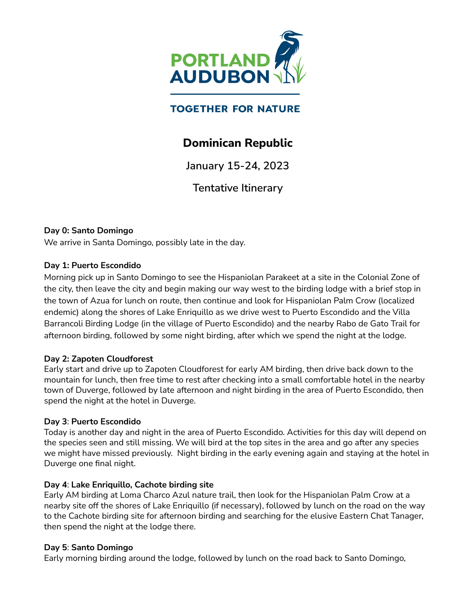

# **TOGETHER FOR NATURE**

# **Dominican Republic**

**January 15-24, 2023**

**Tentative Itinerary**

# **Day 0: Santo Domingo**

We arrive in Santa Domingo, possibly late in the day.

#### **Day 1: Puerto Escondido**

Morning pick up in Santo Domingo to see the Hispaniolan Parakeet at a site in the Colonial Zone of the city, then leave the city and begin making our way west to the birding lodge with a brief stop in the town of Azua for lunch on route, then continue and look for Hispaniolan Palm Crow (localized endemic) along the shores of Lake Enriquillo as we drive west to Puerto Escondido and the Villa Barrancoli Birding Lodge (in the village of Puerto Escondido) and the nearby Rabo de Gato Trail for afternoon birding, followed by some night birding, after which we spend the night at the lodge.

# **Day 2: Zapoten Cloudforest**

Early start and drive up to Zapoten Cloudforest for early AM birding, then drive back down to the mountain for lunch, then free time to rest after checking into a small comfortable hotel in the nearby town of Duverge, followed by late afternoon and night birding in the area of Puerto Escondido, then spend the night at the hotel in Duverge.

# **Day 3**: **Puerto Escondido**

Today is another day and night in the area of Puerto Escondido. Activities for this day will depend on the species seen and still missing. We will bird at the top sites in the area and go after any species we might have missed previously. Night birding in the early evening again and staying at the hotel in Duverge one final night.

# **Day 4**: **Lake Enriquillo, Cachote birding site**

Early AM birding at Loma Charco Azul nature trail, then look for the Hispaniolan Palm Crow at a nearby site off the shores of Lake Enriquillo (if necessary), followed by lunch on the road on the way to the Cachote birding site for afternoon birding and searching for the elusive Eastern Chat Tanager, then spend the night at the lodge there.

#### **Day 5**: **Santo Domingo**

Early morning birding around the lodge, followed by lunch on the road back to Santo Domingo,